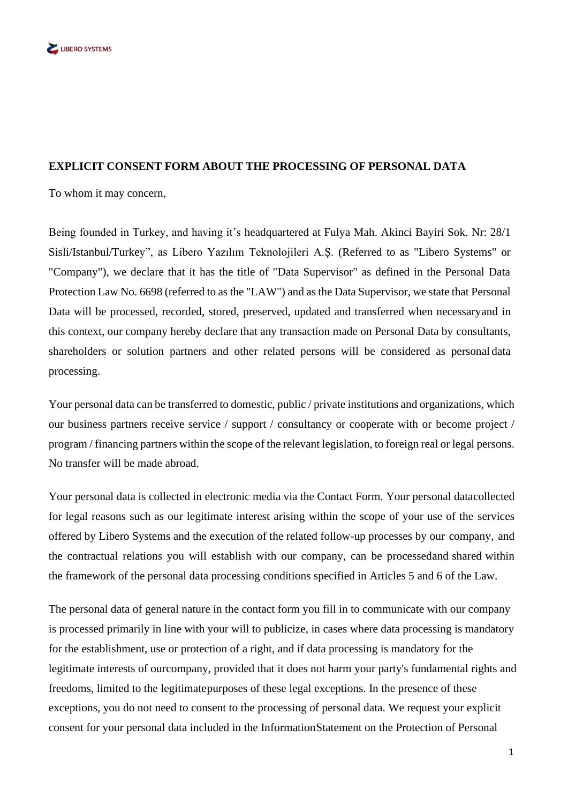

## **EXPLICIT CONSENT FORM ABOUT THE PROCESSING OF PERSONAL DATA**

To whom it may concern,

Being founded in Turkey, and having it's headquartered at Fulya Mah. Akinci Bayiri Sok. Nr: 28/1 Sisli/Istanbul/Turkey", as Libero Yazılım Teknolojileri A.Ş. (Referred to as "Libero Systems" or "Company"), we declare that it has the title of "Data Supervisor" as defined in the Personal Data Protection Law No. 6698 (referred to as the "LAW") and as the Data Supervisor, we state that Personal Data will be processed, recorded, stored, preserved, updated and transferred when necessaryand in this context, our company hereby declare that any transaction made on Personal Data by consultants, shareholders or solution partners and other related persons will be considered as personal data processing.

Your personal data can be transferred to domestic, public / private institutions and organizations, which our business partners receive service / support / consultancy or cooperate with or become project / program / financing partners within the scope of the relevant legislation, to foreign real or legal persons. No transfer will be made abroad.

Your personal data is collected in electronic media via the Contact Form. Your personal datacollected for legal reasons such as our legitimate interest arising within the scope of your use of the services offered by Libero Systems and the execution of the related follow-up processes by our company, and the contractual relations you will establish with our company, can be processedand shared within the framework of the personal data processing conditions specified in Articles 5 and 6 of the Law.

The personal data of general nature in the contact form you fill in to communicate with our company is processed primarily in line with your will to publicize, in cases where data processing is mandatory for the establishment, use or protection of a right, and if data processing is mandatory for the legitimate interests of ourcompany, provided that it does not harm your party's fundamental rights and freedoms, limited to the legitimatepurposes of these legal exceptions. In the presence of these exceptions, you do not need to consent to the processing of personal data. We request your explicit consent for your personal data included in the InformationStatement on the Protection of Personal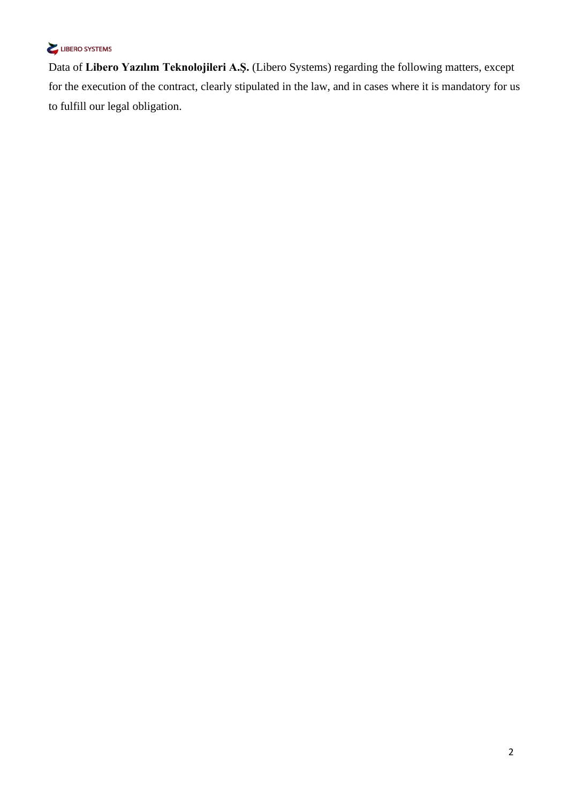## LIBERO SYSTEMS

Data of **Libero Yazılım Teknolojileri A.Ş.** (Libero Systems) regarding the following matters, except for the execution of the contract, clearly stipulated in the law, and in cases where it is mandatory for us to fulfill our legal obligation.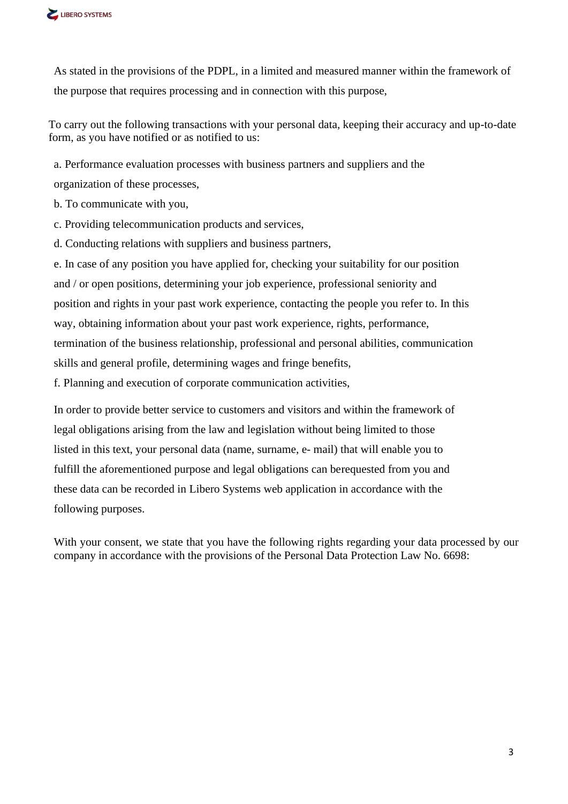

As stated in the provisions of the PDPL, in a limited and measured manner within the framework of the purpose that requires processing and in connection with this purpose,

To carry out the following transactions with your personal data, keeping their accuracy and up-to-date form, as you have notified or as notified to us:

a. Performance evaluation processes with business partners and suppliers and the

organization of these processes,

b. To communicate with you,

c. Providing telecommunication products and services,

d. Conducting relations with suppliers and business partners,

e. In case of any position you have applied for, checking your suitability for our position and / or open positions, determining your job experience, professional seniority and position and rights in your past work experience, contacting the people you refer to. In this way, obtaining information about your past work experience, rights, performance, termination of the business relationship, professional and personal abilities, communication skills and general profile, determining wages and fringe benefits,

f. Planning and execution of corporate communication activities,

In order to provide better service to customers and visitors and within the framework of legal obligations arising from the law and legislation without being limited to those listed in this text, your personal data (name, surname, e- mail) that will enable you to fulfill the aforementioned purpose and legal obligations can berequested from you and these data can be recorded in Libero Systems web application in accordance with the following purposes.

With your consent, we state that you have the following rights regarding your data processed by our company in accordance with the provisions of the Personal Data Protection Law No. 6698: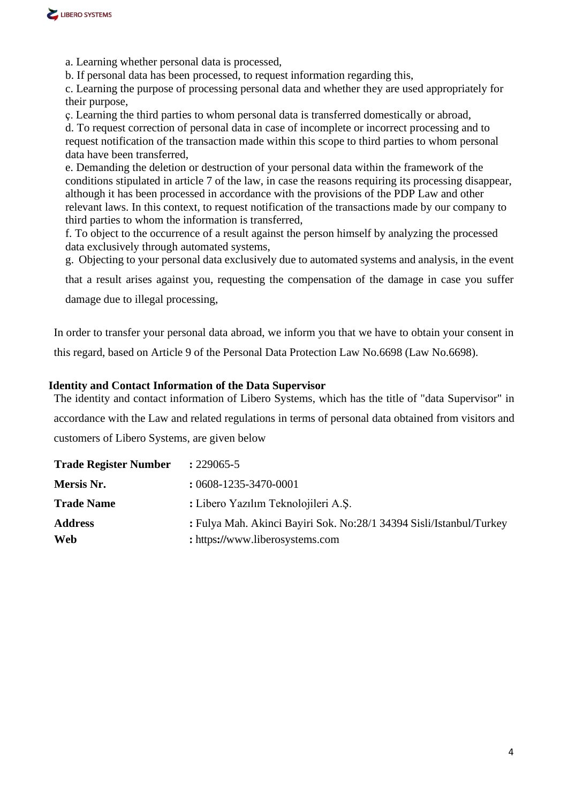

a. Learning whether personal data is processed,

b. If personal data has been processed, to request information regarding this,

c. Learning the purpose of processing personal data and whether they are used appropriately for their purpose,

ç. Learning the third parties to whom personal data is transferred domestically or abroad,

d. To request correction of personal data in case of incomplete or incorrect processing and to request notification of the transaction made within this scope to third parties to whom personal data have been transferred,

e. Demanding the deletion or destruction of your personal data within the framework of the conditions stipulated in article 7 of the law, in case the reasons requiring its processing disappear, although it has been processed in accordance with the provisions of the PDP Law and other relevant laws. In this context, to request notification of the transactions made by our company to third parties to whom the information is transferred,

f. To object to the occurrence of a result against the person himself by analyzing the processed data exclusively through automated systems,

g. Objecting to your personal data exclusively due to automated systems and analysis, in the event

that a result arises against you, requesting the compensation of the damage in case you suffer

damage due to illegal processing,

In order to transfer your personal data abroad, we inform you that we have to obtain your consent in this regard, based on Article 9 of the Personal Data Protection Law No.6698 (Law No.6698).

## **Identity and Contact Information of the Data Supervisor**

The identity and contact information of Libero Systems, which has the title of "data Supervisor" in accordance with the Law and related regulations in terms of personal data obtained from visitors and customers of Libero Systems, are given below

| <b>Trade Register Number</b> | $: 229065 - 5$                                                                                         |
|------------------------------|--------------------------------------------------------------------------------------------------------|
| Mersis Nr.                   | $: 0608 - 1235 - 3470 - 0001$                                                                          |
| <b>Trade Name</b>            | : Libero Yazılım Teknolojileri A.Ş.                                                                    |
| <b>Address</b><br>Web        | : Fulya Mah. Akinci Bayiri Sok. No:28/1 34394 Sisli/Istanbul/Turkey<br>: https://www.liberosystems.com |